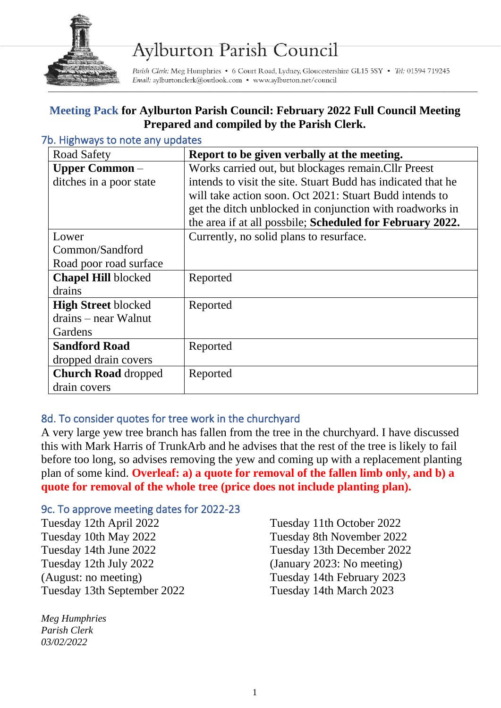

# **Aylburton Parish Council**

Parish Clerk: Meg Humphries • 6 Court Road, Lydney, Gloucestershire GL15 5SY • Tel: 01594 719245 Email: aylburtonclerk@outlook.com • www.aylburton.net/council

### **Meeting Pack for Aylburton Parish Council: February 2022 Full Council Meeting Prepared and compiled by the Parish Clerk.**

| <b>Road Safety</b>         | Report to be given verbally at the meeting.                  |
|----------------------------|--------------------------------------------------------------|
| <b>Upper Common</b> –      | Works carried out, but blockages remain. Cllr Preest         |
| ditches in a poor state    | intends to visit the site. Stuart Budd has indicated that he |
|                            | will take action soon. Oct 2021: Stuart Budd intends to      |
|                            | get the ditch unblocked in conjunction with roadworks in     |
|                            | the area if at all possbile; Scheduled for February 2022.    |
| Lower                      | Currently, no solid plans to resurface.                      |
| Common/Sandford            |                                                              |
| Road poor road surface     |                                                              |
| <b>Chapel Hill blocked</b> | Reported                                                     |
| drains                     |                                                              |
| <b>High Street blocked</b> | Reported                                                     |
| drains – near Walnut       |                                                              |
| Gardens                    |                                                              |
| <b>Sandford Road</b>       | Reported                                                     |
| dropped drain covers       |                                                              |
| <b>Church Road dropped</b> | Reported                                                     |
| drain covers               |                                                              |

#### 7b. Highways to note any updates

#### 8d. To consider quotes for tree work in the churchyard

A very large yew tree branch has fallen from the tree in the churchyard. I have discussed this with Mark Harris of TrunkArb and he advises that the rest of the tree is likely to fail before too long, so advises removing the yew and coming up with a replacement planting plan of some kind. **Overleaf: a) a quote for removal of the fallen limb only, and b) a quote for removal of the whole tree (price does not include planting plan).**

#### 9c. To approve meeting dates for 2022-23

Tuesday 12th April 2022 Tuesday 10th May 2022 Tuesday 14th June 2022 Tuesday 12th July 2022 (August: no meeting) Tuesday 13th September 2022

*Meg Humphries Parish Clerk 03/02/2022*

Tuesday 11th October 2022 Tuesday 8th November 2022 Tuesday 13th December 2022 (January 2023: No meeting) Tuesday 14th February 2023 Tuesday 14th March 2023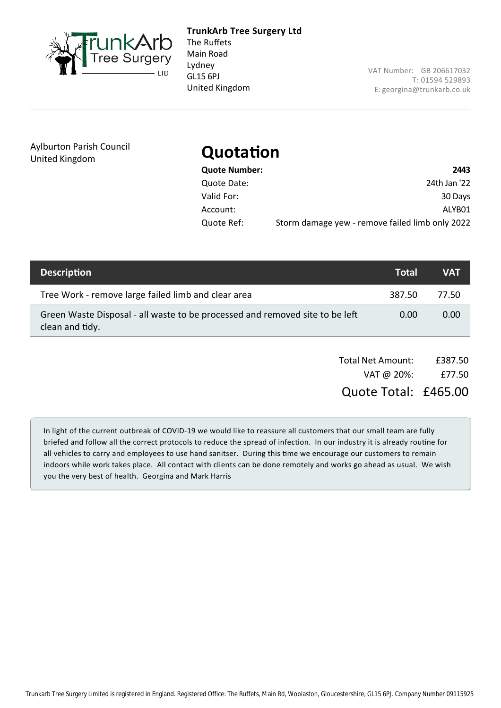

GL15 6PJ **TrunkArb Tree Surgery Ltd** The Ruffets Main Road Lydney United Kingdom

VAT Number: GB 206617032 T: 01594 529893 E: [georgina@trunkarb.co.uk](mailto:georgina@trunkarb.co.uk)

Aylburton Parish Council United Kingdom

## **Quotation**

| Quote Number: | 2443                                            |
|---------------|-------------------------------------------------|
| Quote Date:   | 24th Jan '22                                    |
| Valid For:    | 30 Days                                         |
| Account:      | ALYB01                                          |
| Quote Ref:    | Storm damage yew - remove failed limb only 2022 |

| <b>Description</b>                                                                              | <b>Total</b> | VAT   |
|-------------------------------------------------------------------------------------------------|--------------|-------|
| Tree Work - remove large failed limb and clear area                                             | 387.50       | 77.50 |
| Green Waste Disposal - all waste to be processed and removed site to be left<br>clean and tidy. | 0.00         | 0.00  |

| <b>Total Net Amount:</b> | £387.50 |
|--------------------------|---------|
| VAT @ 20%:               | £77.50  |

Quote Total: £465.00

In light of the current outbreak of COVID‐19 we would like to reassure all customers that our small team are fully briefed and follow all the correct protocols to reduce the spread of infection. In our industry it is already routine for all vehicles to carry and employees to use hand sanitser. During this time we encourage our customers to remain indoors while work takes place. All contact with clients can be done remotely and works go ahead as usual. We wish you the very best of health. Georgina and Mark Harris